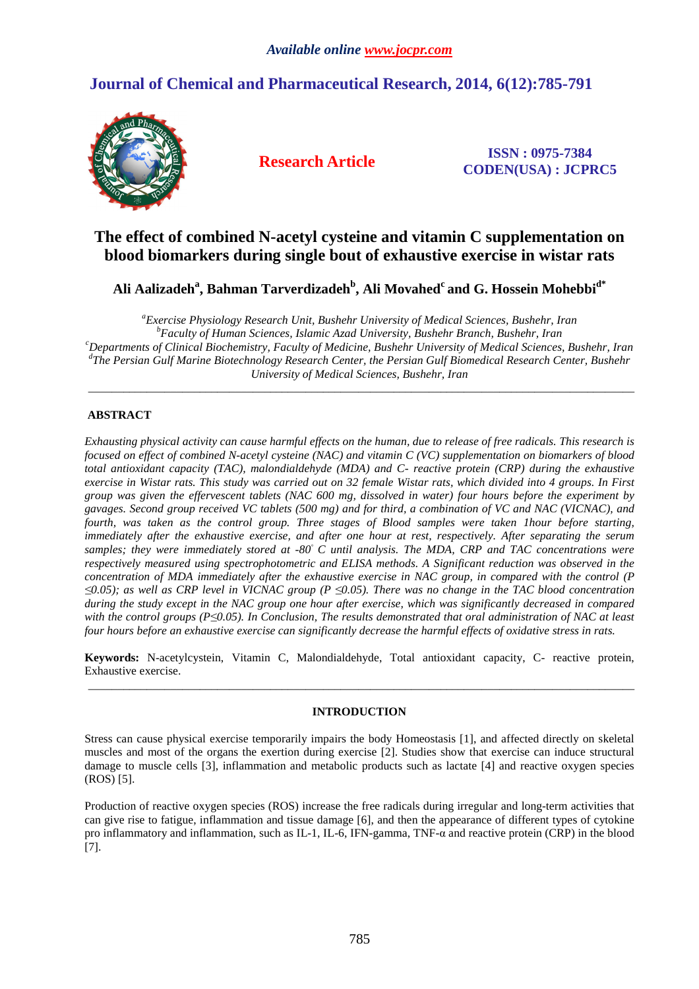# **Journal of Chemical and Pharmaceutical Research, 2014, 6(12):785-791**



**Research Article ISSN : 0975-7384 CODEN(USA) : JCPRC5**

## **The effect of combined N-acetyl cysteine and vitamin C supplementation on blood biomarkers during single bout of exhaustive exercise in wistar rats**

**Ali Aalizadeh<sup>a</sup> , Bahman Tarverdizadeh<sup>b</sup> , Ali Movahed<sup>c</sup>and G. Hossein Mohebbid\***

*<sup>a</sup>Exercise Physiology Research Unit, Bushehr University of Medical Sciences, Bushehr, Iran <sup>b</sup>Faculty of Human Sciences, Islamic Azad University, Bushehr Branch, Bushehr, Iran <sup>c</sup>Departments of Clinical Biochemistry, Faculty of Medicine, Bushehr University of Medical Sciences, Bushehr, Iran d The Persian Gulf Marine Biotechnology Research Center, the Persian Gulf Biomedical Research Center, Bushehr University of Medical Sciences, Bushehr, Iran* 

\_\_\_\_\_\_\_\_\_\_\_\_\_\_\_\_\_\_\_\_\_\_\_\_\_\_\_\_\_\_\_\_\_\_\_\_\_\_\_\_\_\_\_\_\_\_\_\_\_\_\_\_\_\_\_\_\_\_\_\_\_\_\_\_\_\_\_\_\_\_\_\_\_\_\_\_\_\_\_\_\_\_\_\_\_\_\_\_\_\_\_\_\_

## **ABSTRACT**

*Exhausting physical activity can cause harmful effects on the human, due to release of free radicals. This research is focused on effect of combined N-acetyl cysteine (NAC) and vitamin C (VC) supplementation on biomarkers of blood total antioxidant capacity (TAC), malondialdehyde (MDA) and C- reactive protein (CRP) during the exhaustive exercise in Wistar rats. This study was carried out on 32 female Wistar rats, which divided into 4 groups. In First group was given the effervescent tablets (NAC 600 mg, dissolved in water) four hours before the experiment by gavages. Second group received VC tablets (500 mg) and for third, a combination of VC and NAC (VICNAC), and fourth, was taken as the control group. Three stages of Blood samples were taken 1hour before starting, immediately after the exhaustive exercise, and after one hour at rest, respectively. After separating the serum samples; they were immediately stored at -80◦ C until analysis. The MDA, CRP and TAC concentrations were respectively measured using spectrophotometric and ELISA methods. A Significant reduction was observed in the concentration of MDA immediately after the exhaustive exercise in NAC group, in compared with the control (P ≤0.05); as well as CRP level in VICNAC group (P ≤0.05). There was no change in the TAC blood concentration during the study except in the NAC group one hour after exercise, which was significantly decreased in compared with the control groups (P≤0.05). In Conclusion, The results demonstrated that oral administration of NAC at least four hours before an exhaustive exercise can significantly decrease the harmful effects of oxidative stress in rats.* 

**Keywords:** N-acetylcystein, Vitamin C, Malondialdehyde, Total antioxidant capacity, C- reactive protein, Exhaustive exercise. \_\_\_\_\_\_\_\_\_\_\_\_\_\_\_\_\_\_\_\_\_\_\_\_\_\_\_\_\_\_\_\_\_\_\_\_\_\_\_\_\_\_\_\_\_\_\_\_\_\_\_\_\_\_\_\_\_\_\_\_\_\_\_\_\_\_\_\_\_\_\_\_\_\_\_\_\_\_\_\_\_\_\_\_\_\_\_\_\_\_\_\_\_

## **INTRODUCTION**

Stress can cause physical exercise temporarily impairs the body Homeostasis [1], and affected directly on skeletal muscles and most of the organs the exertion during exercise [2]. Studies show that exercise can induce structural damage to muscle cells [3], inflammation and metabolic products such as lactate [4] and reactive oxygen species (ROS) [5].

Production of reactive oxygen species (ROS) increase the free radicals during irregular and long-term activities that can give rise to fatigue, inflammation and tissue damage [6], and then the appearance of different types of cytokine pro inflammatory and inflammation, such as IL-1, IL-6, IFN-gamma, TNF-α and reactive protein (CRP) in the blood [7].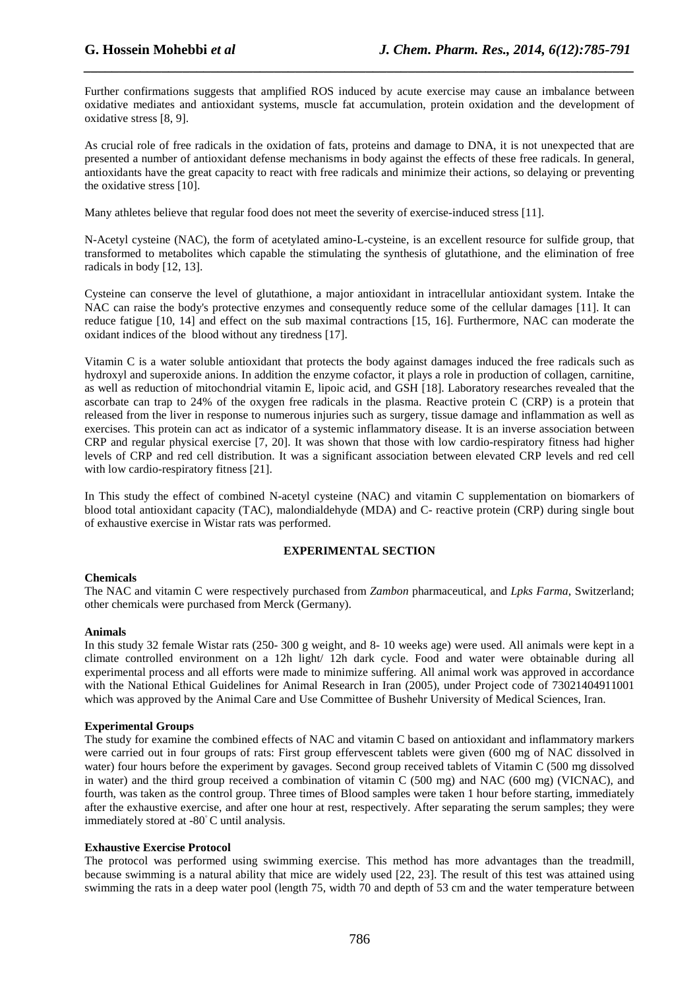Further confirmations suggests that amplified ROS induced by acute exercise may cause an imbalance between oxidative mediates and antioxidant systems, muscle fat accumulation, protein oxidation and the development of oxidative stress [8, 9].

*\_\_\_\_\_\_\_\_\_\_\_\_\_\_\_\_\_\_\_\_\_\_\_\_\_\_\_\_\_\_\_\_\_\_\_\_\_\_\_\_\_\_\_\_\_\_\_\_\_\_\_\_\_\_\_\_\_\_\_\_\_\_\_\_\_\_\_\_\_\_\_\_\_\_\_\_\_\_*

As crucial role of free radicals in the oxidation of fats, proteins and damage to DNA, it is not unexpected that are presented a number of antioxidant defense mechanisms in body against the effects of these free radicals. In general, antioxidants have the great capacity to react with free radicals and minimize their actions, so delaying or preventing the oxidative stress [10].

Many athletes believe that regular food does not meet the severity of exercise-induced stress [11].

N-Acetyl cysteine (NAC), the form of acetylated amino-L-cysteine, is an excellent resource for sulfide group, that transformed to metabolites which capable the stimulating the synthesis of glutathione, and the elimination of free radicals in body [12, 13].

Cysteine can conserve the level of glutathione, a major antioxidant in intracellular antioxidant system. Intake the NAC can raise the body's protective enzymes and consequently reduce some of the cellular damages [11]. It can reduce fatigue [10, 14] and effect on the sub maximal contractions [15, 16]. Furthermore, NAC can moderate the oxidant indices of the blood without any tiredness [17].

Vitamin C is a water soluble antioxidant that protects the body against damages induced the free radicals such as hydroxyl and superoxide anions. In addition the enzyme cofactor, it plays a role in production of collagen, carnitine, as well as reduction of mitochondrial vitamin E, lipoic acid, and GSH [18]. Laboratory researches revealed that the ascorbate can trap to 24% of the oxygen free radicals in the plasma. Reactive protein C (CRP) is a protein that released from the liver in response to numerous injuries such as surgery, tissue damage and inflammation as well as exercises. This protein can act as indicator of a systemic inflammatory disease. It is an inverse association between CRP and regular physical exercise [7, 20]. It was shown that those with low cardio-respiratory fitness had higher levels of CRP and red cell distribution. It was a significant association between elevated CRP levels and red cell with low cardio-respiratory fitness [21].

In This study the effect of combined N-acetyl cysteine (NAC) and vitamin C supplementation on biomarkers of blood total antioxidant capacity (TAC), malondialdehyde (MDA) and C- reactive protein (CRP) during single bout of exhaustive exercise in Wistar rats was performed.

## **EXPERIMENTAL SECTION**

## **Chemicals**

The NAC and vitamin C were respectively purchased from *Zambon* pharmaceutical, and *Lpks Farma*, Switzerland; other chemicals were purchased from Merck (Germany).

## **Animals**

In this study 32 female Wistar rats (250- 300 g weight, and 8- 10 weeks age) were used. All animals were kept in a climate controlled environment on a 12h light/ 12h dark cycle. Food and water were obtainable during all experimental process and all efforts were made to minimize suffering. All animal work was approved in accordance with the National Ethical Guidelines for Animal Research in Iran (2005), under Project code of 73021404911001 which was approved by the Animal Care and Use Committee of Bushehr University of Medical Sciences, Iran.

## **Experimental Groups**

The study for examine the combined effects of NAC and vitamin C based on antioxidant and inflammatory markers were carried out in four groups of rats: First group effervescent tablets were given (600 mg of NAC dissolved in water) four hours before the experiment by gavages. Second group received tablets of Vitamin C (500 mg dissolved in water) and the third group received a combination of vitamin C (500 mg) and NAC (600 mg) (VICNAC), and fourth, was taken as the control group. Three times of Blood samples were taken 1 hour before starting, immediately after the exhaustive exercise, and after one hour at rest, respectively. After separating the serum samples; they were immediately stored at -80◦ C until analysis.

## **Exhaustive Exercise Protocol**

The protocol was performed using swimming exercise. This method has more advantages than the treadmill, because swimming is a natural ability that mice are widely used [22, 23]. The result of this test was attained using swimming the rats in a deep water pool (length 75, width 70 and depth of 53 cm and the water temperature between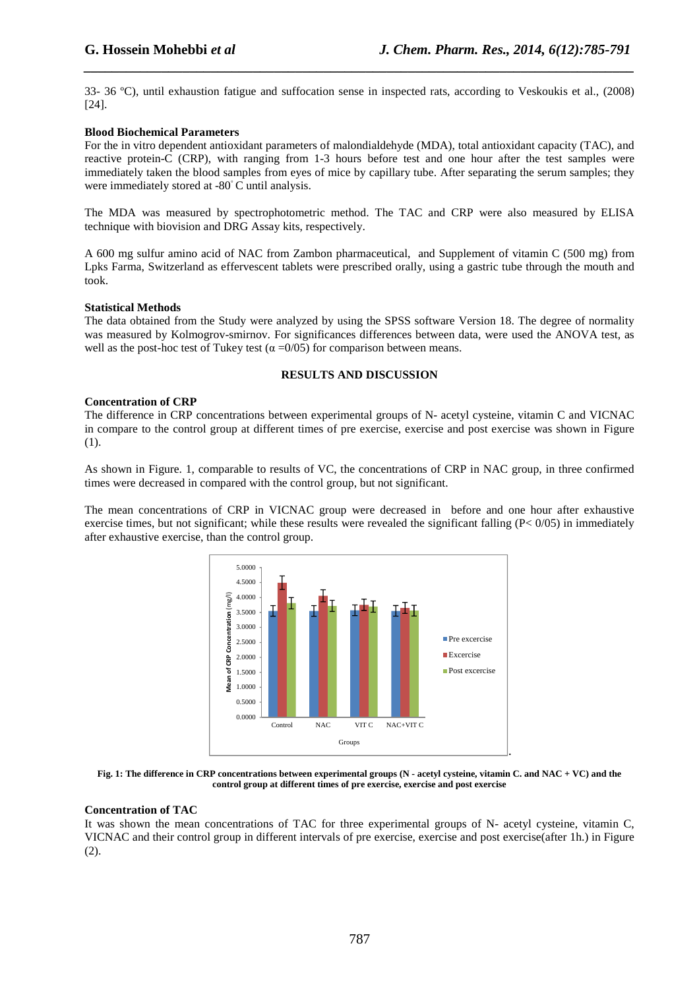33- 36 ºC), until exhaustion fatigue and suffocation sense in inspected rats, according to Veskoukis et al., (2008) [24].

*\_\_\_\_\_\_\_\_\_\_\_\_\_\_\_\_\_\_\_\_\_\_\_\_\_\_\_\_\_\_\_\_\_\_\_\_\_\_\_\_\_\_\_\_\_\_\_\_\_\_\_\_\_\_\_\_\_\_\_\_\_\_\_\_\_\_\_\_\_\_\_\_\_\_\_\_\_\_*

## **Blood Biochemical Parameters**

For the in vitro dependent antioxidant parameters of malondialdehyde (MDA), total antioxidant capacity (TAC), and reactive protein-C (CRP), with ranging from 1-3 hours before test and one hour after the test samples were immediately taken the blood samples from eyes of mice by capillary tube. After separating the serum samples; they were immediately stored at -80° C until analysis.

The MDA was measured by spectrophotometric method. The TAC and CRP were also measured by ELISA technique with biovision and DRG Assay kits, respectively.

A 600 mg sulfur amino acid of NAC from Zambon pharmaceutical, and Supplement of vitamin C (500 mg) from Lpks Farma, Switzerland as effervescent tablets were prescribed orally, using a gastric tube through the mouth and took.

## **Statistical Methods**

The data obtained from the Study were analyzed by using the SPSS software Version 18. The degree of normality was measured by Kolmogrov-smirnov. For significances differences between data, were used the ANOVA test, as well as the post-hoc test of Tukey test ( $\alpha = 0/05$ ) for comparison between means.

## **RESULTS AND DISCUSSION**

## **Concentration of CRP**

The difference in CRP concentrations between experimental groups of N- acetyl cysteine, vitamin C and VICNAC in compare to the control group at different times of pre exercise, exercise and post exercise was shown in Figure (1).

As shown in Figure. 1, comparable to results of VC, the concentrations of CRP in NAC group, in three confirmed times were decreased in compared with the control group, but not significant.

The mean concentrations of CRP in VICNAC group were decreased in before and one hour after exhaustive exercise times, but not significant; while these results were revealed the significant falling  $(P< 0/05)$  in immediately after exhaustive exercise, than the control group.



**Fig. 1: The difference in CRP concentrations between experimental groups (N - acetyl cysteine, vitamin C. and NAC + VC) and the control group at different times of pre exercise, exercise and post exercise** 

## **Concentration of TAC**

It was shown the mean concentrations of TAC for three experimental groups of N- acetyl cysteine, vitamin C, VICNAC and their control group in different intervals of pre exercise, exercise and post exercise(after 1h.) in Figure (2).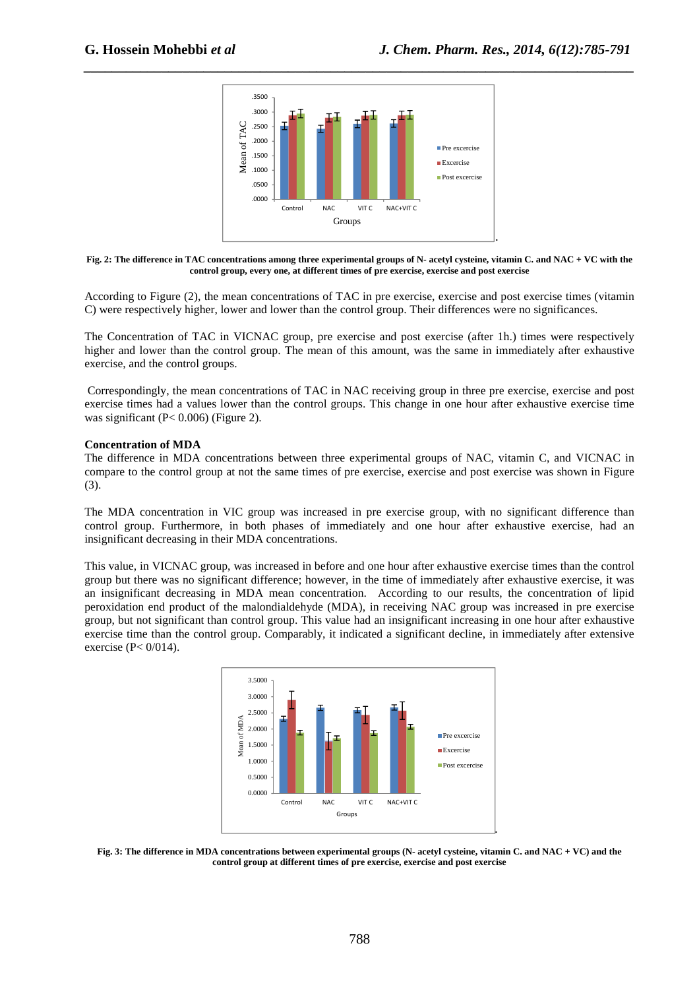

*\_\_\_\_\_\_\_\_\_\_\_\_\_\_\_\_\_\_\_\_\_\_\_\_\_\_\_\_\_\_\_\_\_\_\_\_\_\_\_\_\_\_\_\_\_\_\_\_\_\_\_\_\_\_\_\_\_\_\_\_\_\_\_\_\_\_\_\_\_\_\_\_\_\_\_\_\_\_*

**Fig. 2: The difference in TAC concentrations among three experimental groups of N- acetyl cysteine, vitamin C. and NAC + VC with the control group, every one, at different times of pre exercise, exercise and post exercise** 

According to Figure (2), the mean concentrations of TAC in pre exercise, exercise and post exercise times (vitamin C) were respectively higher, lower and lower than the control group. Their differences were no significances.

The Concentration of TAC in VICNAC group, pre exercise and post exercise (after 1h.) times were respectively higher and lower than the control group. The mean of this amount, was the same in immediately after exhaustive exercise, and the control groups.

 Correspondingly, the mean concentrations of TAC in NAC receiving group in three pre exercise, exercise and post exercise times had a values lower than the control groups. This change in one hour after exhaustive exercise time was significant (P< 0.006) (Figure 2).

#### **Concentration of MDA**

The difference in MDA concentrations between three experimental groups of NAC, vitamin C, and VICNAC in compare to the control group at not the same times of pre exercise, exercise and post exercise was shown in Figure (3).

The MDA concentration in VIC group was increased in pre exercise group, with no significant difference than control group. Furthermore, in both phases of immediately and one hour after exhaustive exercise, had an insignificant decreasing in their MDA concentrations.

This value, in VICNAC group, was increased in before and one hour after exhaustive exercise times than the control group but there was no significant difference; however, in the time of immediately after exhaustive exercise, it was an insignificant decreasing in MDA mean concentration. According to our results, the concentration of lipid peroxidation end product of the malondialdehyde (MDA), in receiving NAC group was increased in pre exercise group, but not significant than control group. This value had an insignificant increasing in one hour after exhaustive exercise time than the control group. Comparably, it indicated a significant decline, in immediately after extensive exercise (P< 0/014).



**Fig. 3: The difference in MDA concentrations between experimental groups (N- acetyl cysteine, vitamin C. and NAC + VC) and the control group at different times of pre exercise, exercise and post exercise**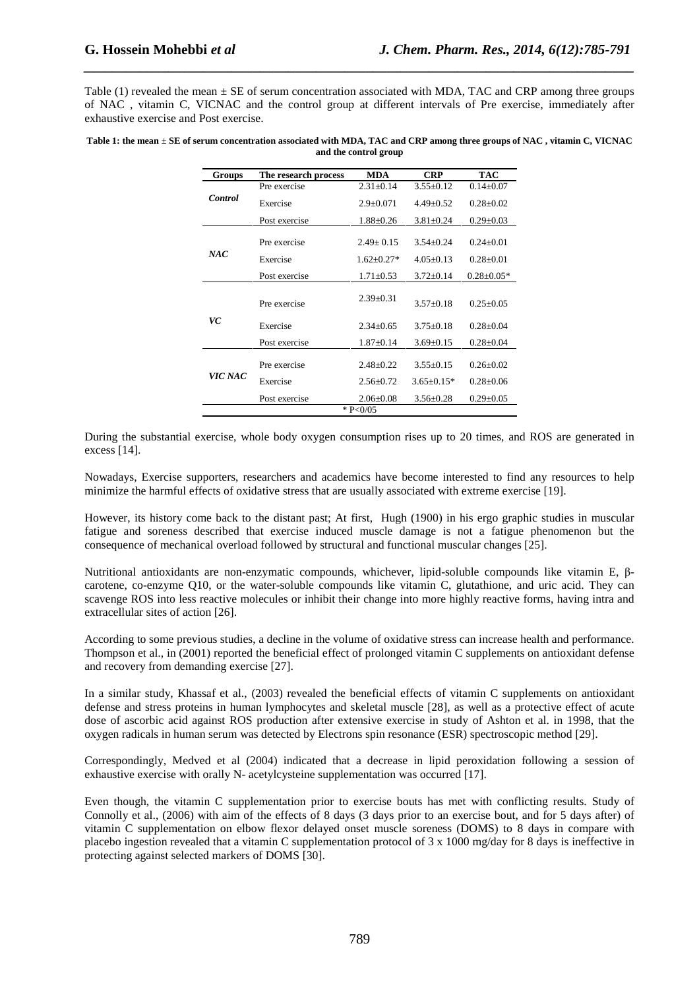Table (1) revealed the mean  $\pm$  SE of serum concentration associated with MDA, TAC and CRP among three groups of NAC , vitamin C, VICNAC and the control group at different intervals of Pre exercise, immediately after exhaustive exercise and Post exercise.

*\_\_\_\_\_\_\_\_\_\_\_\_\_\_\_\_\_\_\_\_\_\_\_\_\_\_\_\_\_\_\_\_\_\_\_\_\_\_\_\_\_\_\_\_\_\_\_\_\_\_\_\_\_\_\_\_\_\_\_\_\_\_\_\_\_\_\_\_\_\_\_\_\_\_\_\_\_\_*

| Table 1: the mean ± SE of serum concentration associated with MDA, TAC and CRP among three groups of NAC, vitamin C, VICNAC |
|-----------------------------------------------------------------------------------------------------------------------------|
| and the control group                                                                                                       |

| Groups         | The research process | <b>MDA</b>      | <b>CRP</b>      | <b>TAC</b>       |
|----------------|----------------------|-----------------|-----------------|------------------|
| <b>Control</b> | Pre exercise         | $2.31 + 0.14$   | $3.55+0.12$     | $0.14 + 0.07$    |
|                | Exercise             | $2.9 + 0.071$   | $4.49 + 0.52$   | $0.28 + 0.02$    |
|                | Post exercise        | $1.88 + 0.26$   | $3.81 + 0.24$   | $0.29 \pm 0.03$  |
| NAC            | Pre exercise         | $2.49 + 0.15$   | $3.54 + 0.24$   | $0.24 + 0.01$    |
|                | Exercise             | $1.62 + 0.27*$  | $4.05+0.13$     | $0.28 + 0.01$    |
|                | Post exercise        | $1.71 \pm 0.53$ | $3.72 \pm 0.14$ | $0.28 \pm 0.05*$ |
| VC             | Pre exercise         | $2.39 \pm 0.31$ | $3.57+0.18$     | $0.25 + 0.05$    |
|                | Exercise             | $2.34 + 0.65$   | $3.75 + 0.18$   | $0.28 + 0.04$    |
|                | Post exercise        | $1.87 \pm 0.14$ | $3.69 \pm 0.15$ | $0.28 \pm 0.04$  |
| VIC NAC        | Pre exercise         | $2.48 \pm 0.22$ | $3.55+0.15$     | $0.26 + 0.02$    |
|                | Exercise             | $2.56 + 0.72$   | $3.65 + 0.15*$  | $0.28 + 0.06$    |
|                | Post exercise        | $2.06 \pm 0.08$ | $3.56 \pm 0.28$ | $0.29 \pm 0.05$  |
|                |                      | * $P < 0/05$    |                 |                  |

During the substantial exercise, whole body oxygen consumption rises up to 20 times, and ROS are generated in excess [14].

Nowadays, Exercise supporters, researchers and academics have become interested to find any resources to help minimize the harmful effects of oxidative stress that are usually associated with extreme exercise [19].

However, its history come back to the distant past; At first, Hugh (1900) in his ergo graphic studies in muscular fatigue and soreness described that exercise induced muscle damage is not a fatigue phenomenon but the consequence of mechanical overload followed by structural and functional muscular changes [25].

Nutritional antioxidants are non-enzymatic compounds, whichever, lipid-soluble compounds like vitamin E, βcarotene, co-enzyme Q10, or the water-soluble compounds like vitamin C, glutathione, and uric acid. They can scavenge ROS into less reactive molecules or inhibit their change into more highly reactive forms, having intra and extracellular sites of action [26].

According to some previous studies, a decline in the volume of oxidative stress can increase health and performance. Thompson et al., in (2001) reported the beneficial effect of prolonged vitamin C supplements on antioxidant defense and recovery from demanding exercise [27].

In a similar study, Khassaf et al., (2003) revealed the beneficial effects of vitamin C supplements on antioxidant defense and stress proteins in human lymphocytes and skeletal muscle [28], as well as a protective effect of acute dose of ascorbic acid against ROS production after extensive exercise in study of Ashton et al. in 1998, that the oxygen radicals in human serum was detected by Electrons spin resonance (ESR) spectroscopic method [29].

Correspondingly, Medved et al (2004) indicated that a decrease in lipid peroxidation following a session of exhaustive exercise with orally N- acetylcysteine supplementation was occurred [17].

Even though, the vitamin C supplementation prior to exercise bouts has met with conflicting results. Study of Connolly et al., (2006) with aim of the effects of 8 days (3 days prior to an exercise bout, and for 5 days after) of vitamin C supplementation on elbow flexor delayed onset muscle soreness (DOMS) to 8 days in compare with placebo ingestion revealed that a vitamin C supplementation protocol of 3 x 1000 mg/day for 8 days is ineffective in protecting against selected markers of DOMS [30].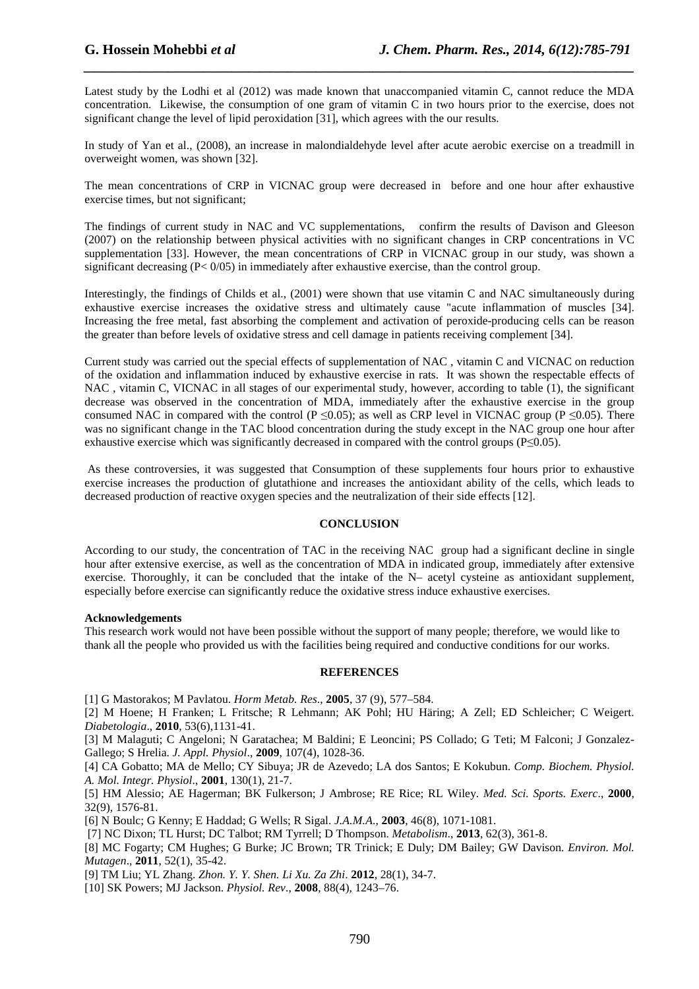Latest study by the Lodhi et al (2012) was made known that unaccompanied vitamin C, cannot reduce the MDA concentration. Likewise, the consumption of one gram of vitamin C in two hours prior to the exercise, does not significant change the level of lipid peroxidation [31], which agrees with the our results.

*\_\_\_\_\_\_\_\_\_\_\_\_\_\_\_\_\_\_\_\_\_\_\_\_\_\_\_\_\_\_\_\_\_\_\_\_\_\_\_\_\_\_\_\_\_\_\_\_\_\_\_\_\_\_\_\_\_\_\_\_\_\_\_\_\_\_\_\_\_\_\_\_\_\_\_\_\_\_*

In study of Yan et al., (2008), an increase in malondialdehyde level after acute aerobic exercise on a treadmill in overweight women, was shown [32].

The mean concentrations of CRP in VICNAC group were decreased in before and one hour after exhaustive exercise times, but not significant;

The findings of current study in NAC and VC supplementations, confirm the results of Davison and Gleeson (2007) on the relationship between physical activities with no significant changes in CRP concentrations in VC supplementation [33]. However, the mean concentrations of CRP in VICNAC group in our study, was shown a significant decreasing  $(P< 0/05)$  in immediately after exhaustive exercise, than the control group.

Interestingly, the findings of Childs et al., (2001) were shown that use vitamin C and NAC simultaneously during exhaustive exercise increases the oxidative stress and ultimately cause "acute inflammation of muscles [34]. Increasing the free metal, fast absorbing the complement and activation of peroxide-producing cells can be reason the greater than before levels of oxidative stress and cell damage in patients receiving complement [34].

Current study was carried out the special effects of supplementation of NAC , vitamin C and VICNAC on reduction of the oxidation and inflammation induced by exhaustive exercise in rats. It was shown the respectable effects of NAC , vitamin C, VICNAC in all stages of our experimental study, however, according to table (1), the significant decrease was observed in the concentration of MDA, immediately after the exhaustive exercise in the group consumed NAC in compared with the control (P  $\leq 0.05$ ); as well as CRP level in VICNAC group (P  $\leq 0.05$ ). There was no significant change in the TAC blood concentration during the study except in the NAC group one hour after exhaustive exercise which was significantly decreased in compared with the control groups (P≤0.05).

 As these controversies, it was suggested that Consumption of these supplements four hours prior to exhaustive exercise increases the production of glutathione and increases the antioxidant ability of the cells, which leads to decreased production of reactive oxygen species and the neutralization of their side effects [12].

## **CONCLUSION**

According to our study, the concentration of TAC in the receiving NAC group had a significant decline in single hour after extensive exercise, as well as the concentration of MDA in indicated group, immediately after extensive exercise. Thoroughly, it can be concluded that the intake of the N– acetyl cysteine as antioxidant supplement, especially before exercise can significantly reduce the oxidative stress induce exhaustive exercises.

## **Acknowledgements**

This research work would not have been possible without the support of many people; therefore, we would like to thank all the people who provided us with the facilities being required and conductive conditions for our works.

#### **REFERENCES**

[1] G Mastorakos; M Pavlatou. *Horm Metab. Res*., **2005**, 37 (9), 577–584.

[2] M Hoene; H Franken; L Fritsche; R Lehmann; AK Pohl; HU Häring; A Zell; ED Schleicher; C Weigert. *Diabetologia*., **2010**, 53(6),1131-41.

[3] M Malaguti; C Angeloni; N Garatachea; M Baldini; E Leoncini; PS Collado; G Teti; M Falconi; J Gonzalez-Gallego; S Hrelia. *J. Appl. Physiol*., **2009**, 107(4), 1028-36.

[4] CA Gobatto; MA de Mello; CY Sibuya; JR de Azevedo; LA dos Santos; E Kokubun. *Comp. Biochem. Physiol. A. Mol. Integr. Physiol*., **2001**, 130(1), 21-7.

[5] HM Alessio; AE Hagerman; BK Fulkerson; J Ambrose; RE Rice; RL Wiley. *Med. Sci. Sports. Exerc*., **2000**, 32(9), 1576-81.

[6] N Boulc; G Kenny; E Haddad; G Wells; R Sigal. *J.A.M.A*., **2003**, 46(8), 1071-1081.

[7] NC Dixon; TL Hurst; DC Talbot; RM Tyrrell; D Thompson. *Metabolism*., **2013**, 62(3), 361-8.

[8] MC Fogarty; CM Hughes; G Burke; JC Brown; TR Trinick; E Duly; DM Bailey; GW Davison. *Environ. Mol. Mutagen*., **2011**, 52(1), 35-42.

[9] TM Liu; YL Zhang. *Zhon. Y. Y. Shen. Li Xu. Za Zhi*. **2012**, 28(1), 34-7.

[10] SK Powers; MJ Jackson. *Physiol. Rev*., **2008**, 88(4), 1243–76.